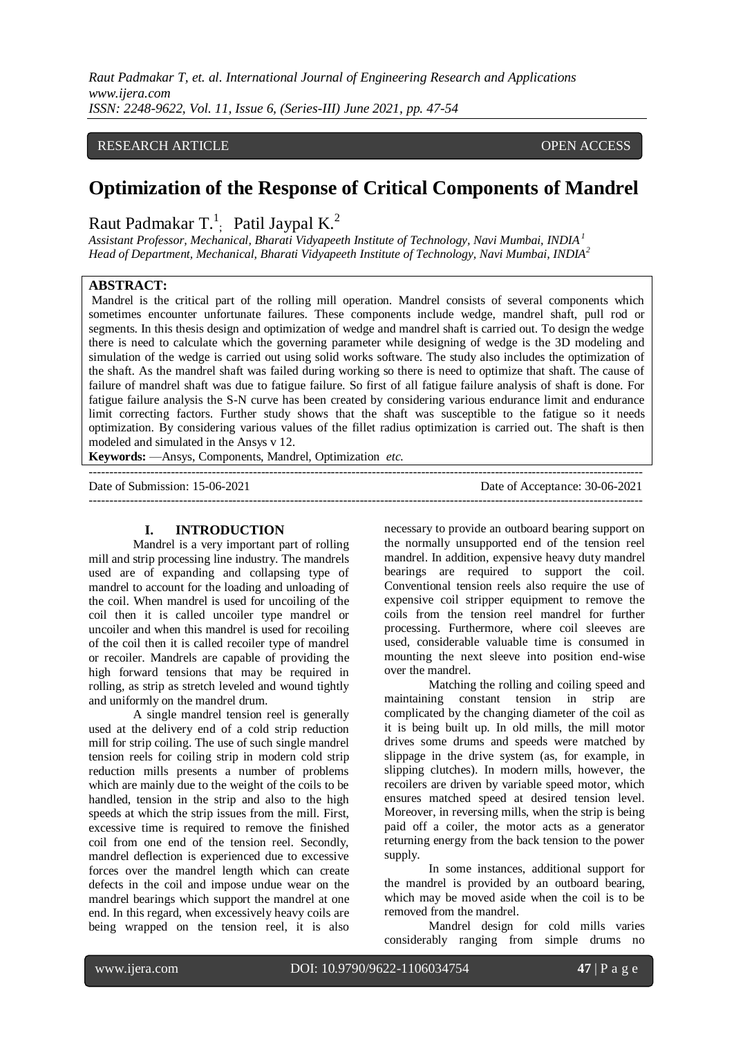## RESEARCH ARTICLE **CONSERVERS** OPEN ACCESS

# **Optimization of the Response of Critical Components of Mandrel**

#### Raut Padmakar T.<sup>1</sup>  $\mu$ ; Patil Jaypal K.<sup>2</sup>

*Assistant Professor, Mechanical, Bharati Vidyapeeth Institute of Technology, Navi Mumbai, INDIA<sup>1</sup> Head of Department, Mechanical, Bharati Vidyapeeth Institute of Technology, Navi Mumbai, INDIA<sup>2</sup>*

#### **ABSTRACT:**

Mandrel is the critical part of the rolling mill operation. Mandrel consists of several components which sometimes encounter unfortunate failures. These components include wedge, mandrel shaft, pull rod or segments. In this thesis design and optimization of wedge and mandrel shaft is carried out. To design the wedge there is need to calculate which the governing parameter while designing of wedge is the 3D modeling and simulation of the wedge is carried out using solid works software. The study also includes the optimization of the shaft. As the mandrel shaft was failed during working so there is need to optimize that shaft. The cause of failure of mandrel shaft was due to fatigue failure. So first of all fatigue failure analysis of shaft is done. For fatigue failure analysis the S-N curve has been created by considering various endurance limit and endurance limit correcting factors. Further study shows that the shaft was susceptible to the fatigue so it needs optimization. By considering various values of the fillet radius optimization is carried out. The shaft is then modeled and simulated in the Ansys v 12.

**Keywords:** —Ansys, Components, Mandrel, Optimization *etc.*

--------------------------------------------------------------------------------------------------------------------------------------- Date of Submission: 15-06-2021 Date of Acceptance: 30-06-2021 ---------------------------------------------------------------------------------------------------------------------------------------

#### **I. INTRODUCTION**

Mandrel is a very important part of rolling mill and strip processing line industry. The mandrels used are of expanding and collapsing type of mandrel to account for the loading and unloading of the coil. When mandrel is used for uncoiling of the coil then it is called uncoiler type mandrel or uncoiler and when this mandrel is used for recoiling of the coil then it is called recoiler type of mandrel or recoiler. Mandrels are capable of providing the high forward tensions that may be required in rolling, as strip as stretch leveled and wound tightly and uniformly on the mandrel drum.

A single mandrel tension reel is generally used at the delivery end of a cold strip reduction mill for strip coiling. The use of such single mandrel tension reels for coiling strip in modern cold strip reduction mills presents a number of problems which are mainly due to the weight of the coils to be handled, tension in the strip and also to the high speeds at which the strip issues from the mill. First, excessive time is required to remove the finished coil from one end of the tension reel. Secondly, mandrel deflection is experienced due to excessive forces over the mandrel length which can create defects in the coil and impose undue wear on the mandrel bearings which support the mandrel at one end. In this regard, when excessively heavy coils are being wrapped on the tension reel, it is also necessary to provide an outboard bearing support on the normally unsupported end of the tension reel mandrel. In addition, expensive heavy duty mandrel bearings are required to support the coil. Conventional tension reels also require the use of expensive coil stripper equipment to remove the coils from the tension reel mandrel for further processing. Furthermore, where coil sleeves are used, considerable valuable time is consumed in mounting the next sleeve into position end-wise over the mandrel.

Matching the rolling and coiling speed and maintaining constant tension in strip are complicated by the changing diameter of the coil as it is being built up. In old mills, the mill motor drives some drums and speeds were matched by slippage in the drive system (as, for example, in slipping clutches). In modern mills, however, the recoilers are driven by variable speed motor, which ensures matched speed at desired tension level. Moreover, in reversing mills, when the strip is being paid off a coiler, the motor acts as a generator returning energy from the back tension to the power supply.

In some instances, additional support for the mandrel is provided by an outboard bearing, which may be moved aside when the coil is to be removed from the mandrel.

Mandrel design for cold mills varies considerably ranging from simple drums no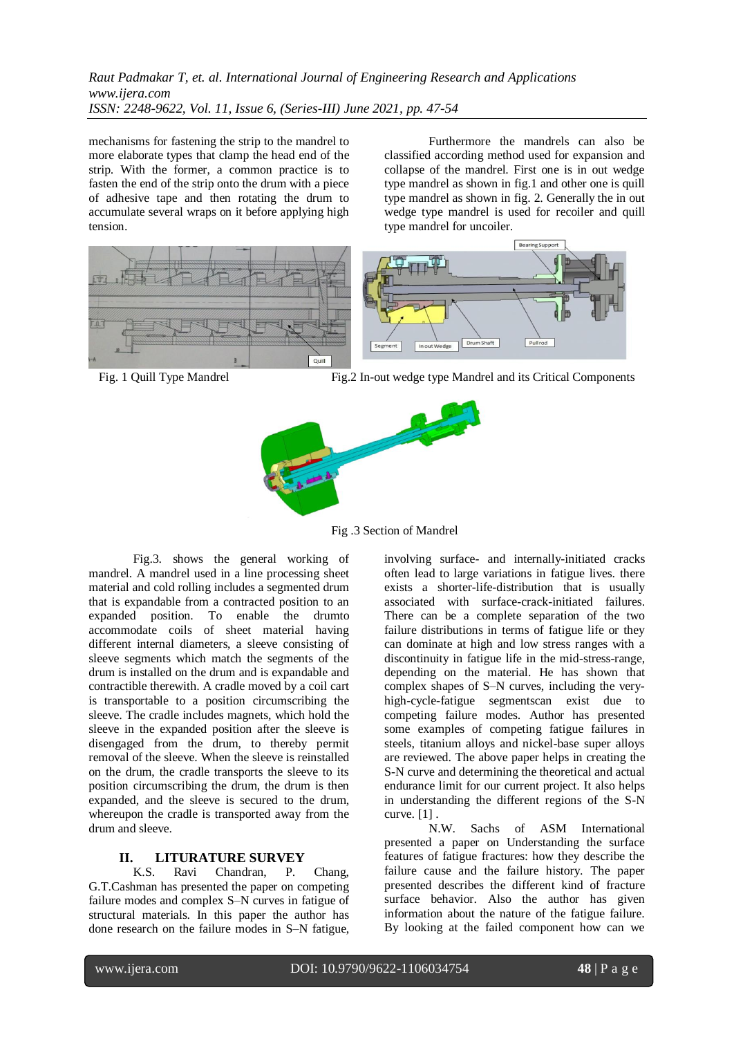mechanisms for fastening the strip to the mandrel to more elaborate types that clamp the head end of the strip. With the former, a common practice is to fasten the end of the strip onto the drum with a piece of adhesive tape and then rotating the drum to accumulate several wraps on it before applying high tension.

Furthermore the mandrels can also be classified according method used for expansion and collapse of the mandrel. First one is in out wedge type mandrel as shown in fig.1 and other one is quill type mandrel as shown in fig. 2. Generally the in out wedge type mandrel is used for recoiler and quill type mandrel for uncoiler.



Fig. 1 Quill Type Mandrel Fig.2 In-out wedge type Mandrel and its Critical Components



Fig .3 Section of Mandrel

Fig.3. shows the general working of mandrel. A mandrel used in a line processing sheet material and cold rolling includes a segmented drum that is expandable from a contracted position to an expanded position. To enable the [drumt](http://www.patentgenius.com/image/6354534-6.html)o accommodate coils of sheet material having different internal diameters, a sleeve consisting of sleeve segments which match the segments of the drum is installed on the drum and is expandable and contractible therewith. A cradle moved by a coil cart is transportable to a position circumscribing the sleeve. The cradle includes magnets, which hold the sleeve in the expanded position after the sleeve is disengaged from the drum, to thereby permit removal of the sleeve. When the sleeve is reinstalled on the drum, the cradle transports the sleeve to its position circumscribing the drum, the drum is then expanded, and the sleeve is secured to the drum, whereupon the cradle is transported away from the drum and sleeve.

## **II. LITURATURE SURVEY**

K.S. Ravi Chandran, P. Chang, G.T.Cashman has presented the paper on competing failure modes and complex S–N curves in fatigue of structural materials. In this paper the author has done research on the failure modes in S–N fatigue, involving surface- and internally-initiated cracks often lead to large variations in fatigue lives. there exists a shorter-life-distribution that is usually associated with surface-crack-initiated failures. There can be a complete separation of the two failure distributions in terms of fatigue life or they can dominate at high and low stress ranges with a discontinuity in fatigue life in the mid-stress-range, depending on the material. He has shown that complex shapes of S–N curves, including the veryhigh-cycle-fatigue segmentscan exist due to competing failure modes. Author has presented some examples of competing fatigue failures in steels, titanium alloys and nickel-base super alloys are reviewed. The above paper helps in creating the S-N curve and determining the theoretical and actual endurance limit for our current project. It also helps in understanding the different regions of the S-N curve. [1] .

N.W. Sachs of ASM International presented a paper on Understanding the surface features of fatigue fractures: how they describe the failure cause and the failure history. The paper presented describes the different kind of fracture surface behavior. Also the author has given information about the nature of the fatigue failure. By looking at the failed component how can we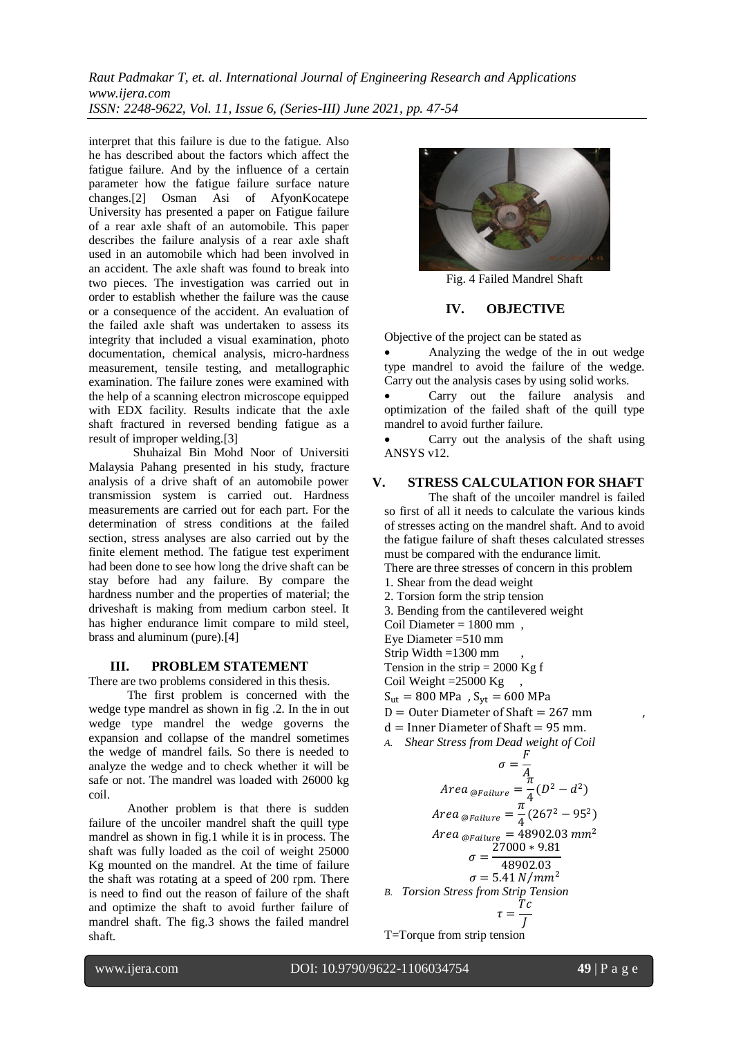interpret that this failure is due to the fatigue. Also he has described about the factors which affect the fatigue failure. And by the influence of a certain parameter how the fatigue failure surface nature changes.[2] Osman Asi of AfyonKocatepe University has presented a paper on Fatigue failure of a rear axle shaft of an automobile. This paper describes the failure analysis of a rear axle shaft used in an automobile which had been involved in an accident. The axle shaft was found to break into two pieces. The investigation was carried out in order to establish whether the failure was the cause or a consequence of the accident. An evaluation of the failed axle shaft was undertaken to assess its integrity that included a visual examination, photo documentation, chemical analysis, micro-hardness measurement, tensile testing, and metallographic examination. The failure zones were examined with the help of a scanning electron microscope equipped with EDX facility. Results indicate that the axle shaft fractured in reversed bending fatigue as a result of improper welding.[3]

Shuhaizal Bin Mohd Noor of Universiti Malaysia Pahang presented in his study, fracture analysis of a drive shaft of an automobile power transmission system is carried out. Hardness measurements are carried out for each part. For the determination of stress conditions at the failed section, stress analyses are also carried out by the finite element method. The fatigue test experiment had been done to see how long the drive shaft can be stay before had any failure. By compare the hardness number and the properties of material; the driveshaft is making from medium carbon steel. It has higher endurance limit compare to mild steel, brass and aluminum (pure).[4]

### **III. PROBLEM STATEMENT**

There are two problems considered in this thesis.

The first problem is concerned with the wedge type mandrel as shown in fig .2. In the in out wedge type mandrel the wedge governs the expansion and collapse of the mandrel sometimes the wedge of mandrel fails. So there is needed to analyze the wedge and to check whether it will be safe or not. The mandrel was loaded with 26000 kg coil.

Another problem is that there is sudden failure of the uncoiler mandrel shaft the quill type mandrel as shown in fig.1 while it is in process. The shaft was fully loaded as the coil of weight 25000 Kg mounted on the mandrel. At the time of failure the shaft was rotating at a speed of 200 rpm. There is need to find out the reason of failure of the shaft and optimize the shaft to avoid further failure of mandrel shaft. The fig.3 shows the failed mandrel shaft.



Fig. 4 Failed Mandrel Shaft

## **IV. OBJECTIVE**

Objective of the project can be stated as

 Analyzing the wedge of the in out wedge type mandrel to avoid the failure of the wedge. Carry out the analysis cases by using solid works.

 Carry out the failure analysis and optimization of the failed shaft of the quill type mandrel to avoid further failure.

 Carry out the analysis of the shaft using ANSYS v12.

## **V. STRESS CALCULATION FOR SHAFT**

The shaft of the uncoiler mandrel is failed so first of all it needs to calculate the various kinds of stresses acting on the mandrel shaft. And to avoid the fatigue failure of shaft theses calculated stresses must be compared with the endurance limit.

There are three stresses of concern in this problem

- 1. Shear from the dead weight
- 2. Torsion form the strip tension
- 3. Bending from the cantilevered weight
- Coil Diameter = 1800 mm ,
- Eye Diameter =510 mm
- Strip Width  $=1300$  mm
- Tension in the strip  $= 2000$  Kg f
- Coil Weight = $25000 \text{ Kg}$ ,

 $S_{\text{ut}} = 800 \text{ MPa}$ ,  $S_{\text{vt}} = 600 \text{ MPa}$ 

- $D =$  Outer Diameter of Shaft = 267 mm
- $d =$ Inner Diameter of Shaft = 95 mm.
- *A. Shear Stress from Dead weight of Coil*

$$
\sigma = \frac{F}{A}
$$
  
Area  $\omega_{Failure} = \frac{\pi}{4} (D^2 - d^2)$   
Area  $\omega_{Failure} = \frac{\pi}{4} (267^2 - 95^2)$   
Area  $\omega_{Failure} = 48902.03 \text{ mm}^2$   
 $\sigma = \frac{27000 * 9.81}{48902.03}$   
 $\sigma = 5.41 \text{ N/mm}^2$   
B. Torsion Stress from Strip Tension  
 $\tau = \frac{Tc}{J}$ 

T=Torque from strip tension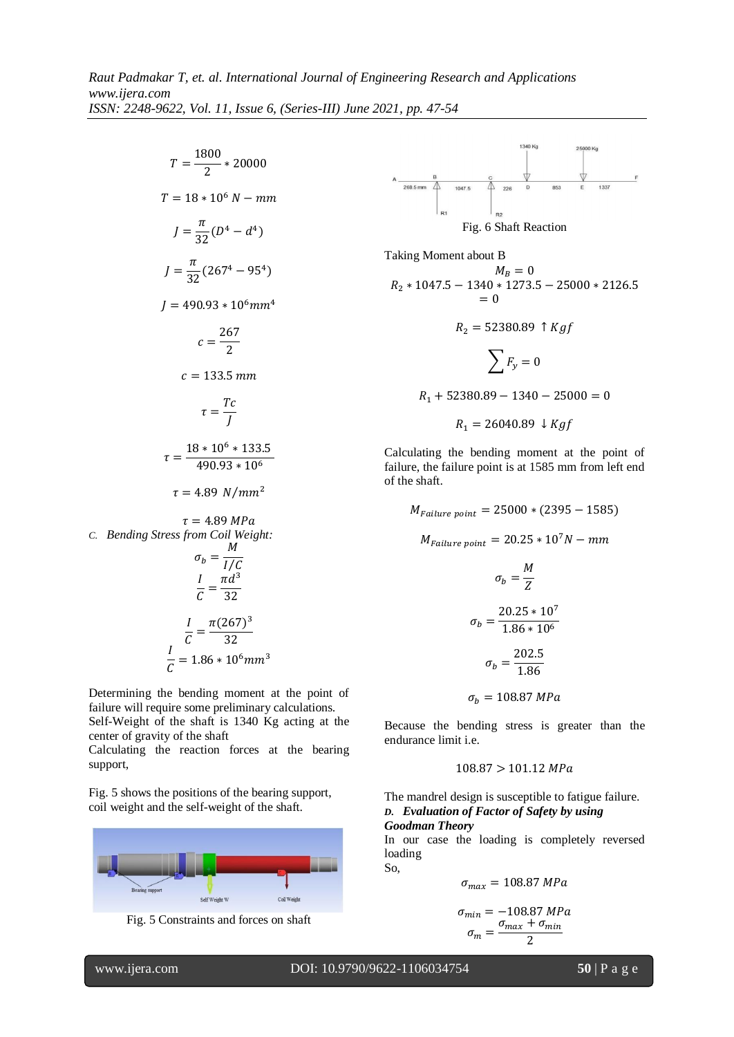$T=\frac{1}{\sqrt{2}}$  $\frac{1}{2}$  \*  $T = 18 * 10^6 N - mm$  $J=\frac{\pi}{2}$  $\frac{\pi}{32}(D^4-d^4)$  $J=\frac{\pi}{2}$  $\frac{1}{32}(267^4-95^4)$  $I = 490.93 * 10^6$ mm<sup>4</sup>  $c=\frac{2}{\epsilon}$  $\overline{c}$  $c = 133.5 \, mm$  $\tau = \frac{T}{\tau}$ J  $\tau = \frac{1}{\tau}$  $\overline{\mathcal{L}}$  $\tau = 4.89 \ N/mm^2$  $\tau = 4.89 MPa$ *C. Bending Stress from Coil Weight:*  $\sigma_b = \frac{M}{1.6}$ I  $\overline{I}$  $\frac{I}{C} = \frac{\pi d^3}{32}$ 3  $\overline{I}$  $\frac{I}{C} = \frac{\pi (267)^3}{32}$ 3 I

Determining the bending moment at the point of failure will require some preliminary calculations. Self-Weight of the shaft is 1340 Kg acting at the center of gravity of the shaft

 $\overline{C}$  =

Calculating the reaction forces at the bearing support,

Fig. 5 shows the positions of the bearing support, coil weight and the self-weight of the shaft.







Taking Moment about B  
\n
$$
M_B = 0
$$
\n
$$
R_2 * 1047.5 - 1340 * 1273.5 - 25000 * 2126.5
$$
\n
$$
= 0
$$
\n
$$
R_2 = 52380.89 \uparrow Kgf
$$
\n
$$
\sum F_y = 0
$$

$$
R_1 + 52380.89 - 1340 - 25000 = 0
$$

$$
R_1 = 26040.89 \downarrow Kgf
$$

Calculating the bending moment at the point of failure, the failure point is at 1585 mm from left end of the shaft.

$$
M_{Failure\ point} = 25000 * (2395 - 1585)
$$
  
\n
$$
M_{Failure\ point} = 20.25 * 10^7 N - mm
$$
  
\n
$$
\sigma_b = \frac{M}{Z}
$$
  
\n
$$
\sigma_b = \frac{20.25 * 10^7}{1.86 * 10^6}
$$
  
\n
$$
\sigma_b = \frac{202.5}{1.86}
$$
  
\n
$$
\sigma_b = 108.87 MPa
$$

Because the bending stress is greater than the endurance limit i.e.

#### $108.87 > 101.12 MPa$

The mandrel design is susceptible to fatigue failure. *D. Evaluation of Factor of Safety by using Goodman Theory*

In our case the loading is completely reversed loading So,

$$
\sigma_{max} = 108.87 \, MPa
$$

$$
\sigma_{min} = -108.87 MPa
$$

$$
\sigma_m = \frac{\sigma_{max} + \sigma_{min}}{2}
$$

l

www.ijera.com DOI: 10.9790/9622-1106034754 **50** | P a g e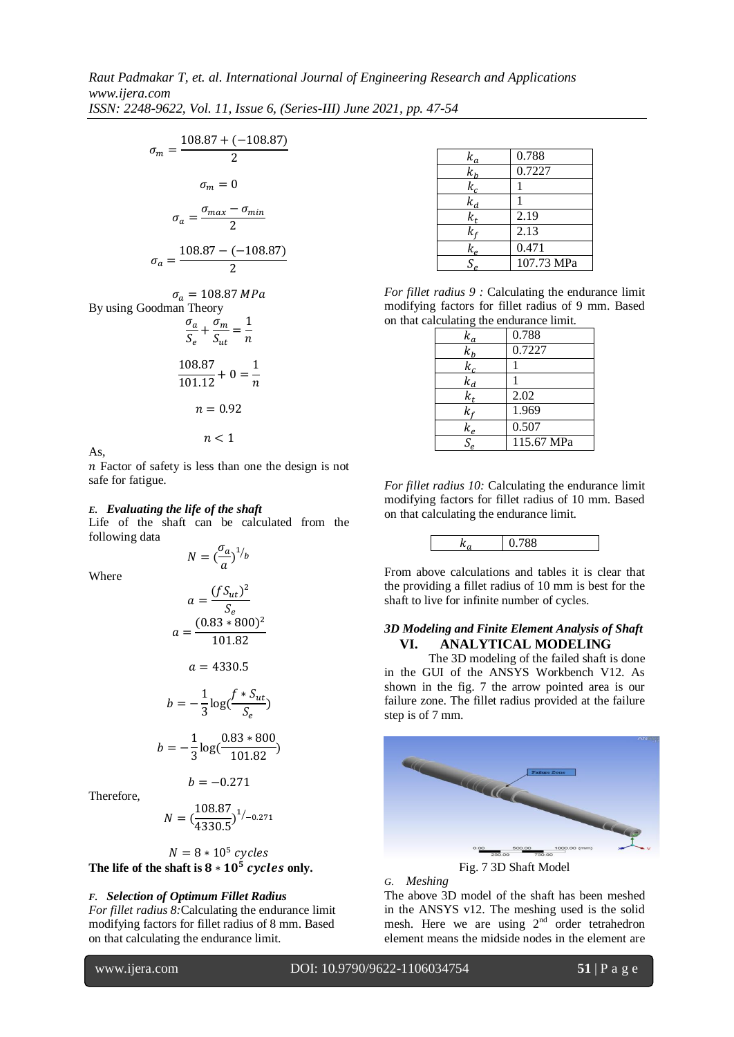$$
\sigma_m = \frac{108.87 + (-108.87)}{2}
$$

$$
\sigma_m = 0
$$

$$
\sigma_a = \frac{\sigma_{max} - \sigma_{min}}{2}
$$

$$
\sigma_a = \frac{108.87 - (-108.87)}{2}
$$

 $\sigma_a=108.87\, MPa$ By using Goodman Theory  $\sigma$  $\frac{\sigma_a}{S_e} + \frac{\sigma}{S_i}$  $\frac{\sigma_m}{S_{ut}} = \frac{1}{n}$  $\boldsymbol{n}$ 

$$
\frac{108.87}{101.12} + 0 = \frac{1}{n}
$$

$$
n = 0.92
$$

$$
n < 1
$$

As,

 $n$  Factor of safety is less than one the design is not safe for fatigue.

#### *E. Evaluating the life of the shaft*

Life of the shaft can be calculated from the following data  $N = \begin{pmatrix} \sigma \\ - \end{pmatrix}$ 

 $\frac{\sigma_a}{a}$ )<sup>1</sup>/<sub>b</sub>

Where

$$
a = \frac{(fS_{ut})^2}{S_e}
$$
  

$$
a = \frac{(0.83 * 800)^2}{101.82}
$$
  

$$
a = 4330.5
$$
  

$$
b = -\frac{1}{3}\log(\frac{f * S_{ut}}{S_e})
$$
  

$$
b = -\frac{1}{3}\log(\frac{0.83 * 800}{101.82})
$$

Therefore,

$$
N = \left(\frac{108.87}{4330.5}\right)^{1/_{-0.271}}
$$

 $b = -0.271$ 

 $\mathbf{1}$ 

 $N = 8 * 10^5 c$ The life of the shaft is  $8 * 10^5$  cycles only.

## *F. Selection of Optimum Fillet Radius*

*For fillet radius 8:*Calculating the endurance limit modifying factors for fillet radius of 8 mm. Based on that calculating the endurance limit.

 $k_{q}$ 0.788  $k_h$ 0.7227  $k_c$ 1  $k_d$ 1  $k_{t}$ 2.19  $k_f$  2.13  $k_{\rm c}$ 0.471  $S_e$ 107.73 MPa

*For fillet radius 9 :* Calculating the endurance limit modifying factors for fillet radius of 9 mm. Based on that calculating the endurance limit.

| $k_a$                       | 0.788      |
|-----------------------------|------------|
| $k_h$                       | 0.7227     |
| $k_c$                       |            |
| $k_d$                       |            |
| $\overline{k_t}$            | 2.02       |
| k,                          | 1.969      |
| $k_e$                       | 0.507      |
| $\mathcal{S}_{\mathcal{L}}$ | 115.67 MPa |

*For fillet radius 10:* Calculating the endurance limit modifying factors for fillet radius of 10 mm. Based on that calculating the endurance limit.



From above calculations and tables it is clear that the providing a fillet radius of 10 mm is best for the shaft to live for infinite number of cycles.

### *3D Modeling and Finite Element Analysis of Shaft* **VI. ANALYTICAL MODELING**

The 3D modeling of the failed shaft is done in the GUI of the ANSYS Workbench V12. As shown in the fig. 7 the arrow pointed area is our failure zone. The fillet radius provided at the failure step is of 7 mm.



Fig. 7 3D Shaft Model

*G. Meshing*

The above 3D model of the shaft has been meshed in the ANSYS v12. The meshing used is the solid mesh. Here we are using  $2<sup>nd</sup>$  order tetrahedron element means the midside nodes in the element are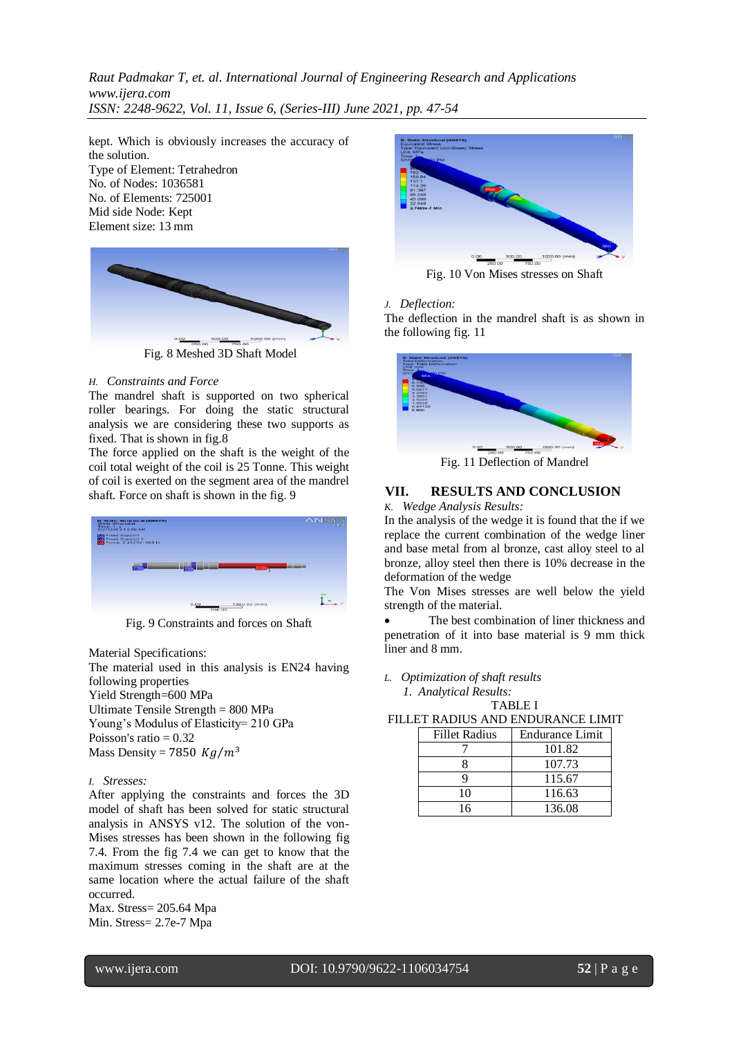kept. Which is obviously increases the accuracy of the solution. Type of Element: Tetrahedron No. of Nodes: 1036581 No. of Elements: 725001 Mid side Node: Kept Element size: 13 mm



Fig. 8 Meshed 3D Shaft Model

#### *H. Constraints and Force*

The mandrel shaft is supported on two spherical roller bearings. For doing the static structural analysis we are considering these two supports as fixed. That is shown in fig.8

The force applied on the shaft is the weight of the coil total weight of the coil is 25 Tonne. This weight of coil is exerted on the segment area of the mandrel shaft. Force on shaft is shown in the fig. 9



Fig. 9 Constraints and forces on Shaft

Material Specifications:

The material used in this analysis is EN24 having following properties

Yield Strength=600 MPa Ultimate Tensile Strength = 800 MPa Young's Modulus of Elasticity= 210 GPa Poisson's ratio  $= 0.32$ Mass Density = 7850  $Kg/m^3$ 

#### *I. Stresses:*

After applying the constraints and forces the 3D model of shaft has been solved for static structural analysis in ANSYS v12. The solution of the von-Mises stresses has been shown in the following fig 7.4. From the fig 7.4 we can get to know that the maximum stresses coming in the shaft are at the same location where the actual failure of the shaft occurred.

Max. Stress= 205.64 Mpa Min. Stress= 2.7e-7 Mpa



Fig. 10 Von Mises stresses on Shaft

#### *J. Deflection:*

The deflection in the mandrel shaft is as shown in the following fig. 11



Fig. 11 Deflection of Mandrel

## **VII. RESULTS AND CONCLUSION**

*K. Wedge Analysis Results:*

In the analysis of the wedge it is found that the if we replace the current combination of the wedge liner and base metal from al bronze, cast alloy steel to al bronze, alloy steel then there is 10% decrease in the deformation of the wedge

The Von Mises stresses are well below the yield strength of the material.

 The best combination of liner thickness and penetration of it into base material is 9 mm thick liner and 8 mm.

*L. Optimization of shaft results*

 *1. Analytical Results:* TABLE I

FILLET RADIUS AND ENDURANCE LIMIT

| <b>Fillet Radius</b> | <b>Endurance Limit</b> |
|----------------------|------------------------|
|                      | 101.82                 |
|                      | 107.73                 |
|                      | 115.67                 |
| 10                   | 116.63                 |
| 16                   | 136.08                 |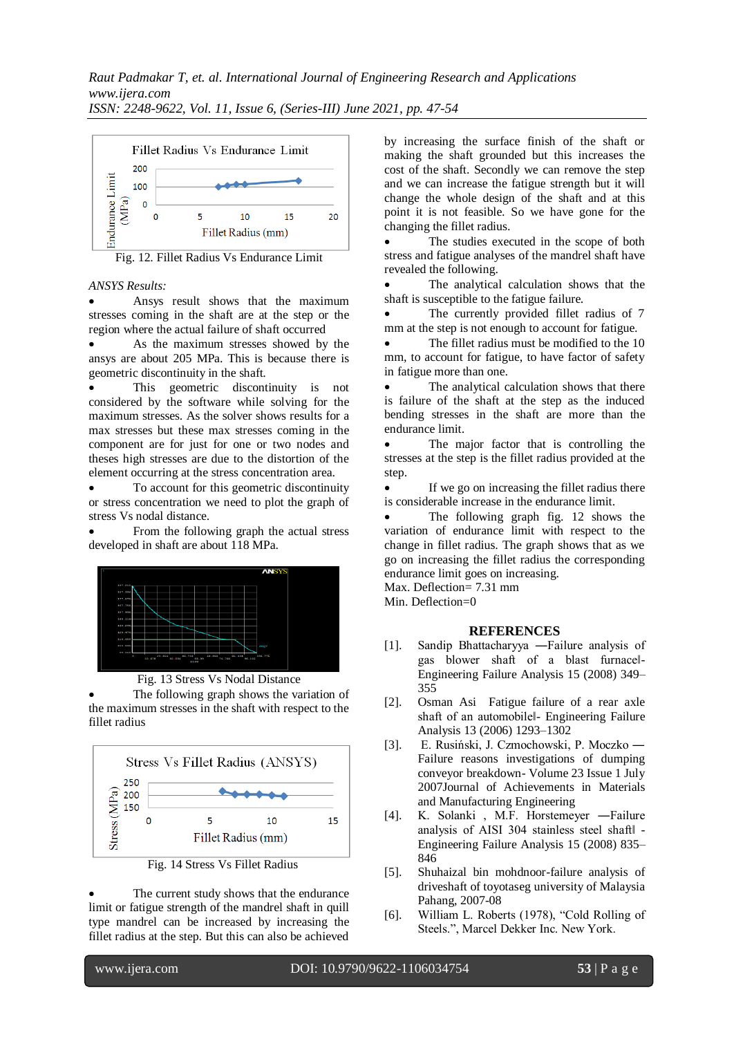

Fig. 12. Fillet Radius Vs Endurance Limit

#### *ANSYS Results:*

 Ansys result shows that the maximum stresses coming in the shaft are at the step or the region where the actual failure of shaft occurred

 As the maximum stresses showed by the ansys are about 205 MPa. This is because there is geometric discontinuity in the shaft.

 This geometric discontinuity is not considered by the software while solving for the maximum stresses. As the solver shows results for a max stresses but these max stresses coming in the component are for just for one or two nodes and theses high stresses are due to the distortion of the element occurring at the stress concentration area.

 To account for this geometric discontinuity or stress concentration we need to plot the graph of stress Vs nodal distance.

 From the following graph the actual stress developed in shaft are about 118 MPa.



Fig. 13 Stress Vs Nodal Distance

 The following graph shows the variation of the maximum stresses in the shaft with respect to the fillet radius



Fig. 14 Stress Vs Fillet Radius

 The current study shows that the endurance limit or fatigue strength of the mandrel shaft in quill type mandrel can be increased by increasing the fillet radius at the step. But this can also be achieved by increasing the surface finish of the shaft or making the shaft grounded but this increases the cost of the shaft. Secondly we can remove the step and we can increase the fatigue strength but it will change the whole design of the shaft and at this point it is not feasible. So we have gone for the changing the fillet radius.

 The studies executed in the scope of both stress and fatigue analyses of the mandrel shaft have revealed the following.

 The analytical calculation shows that the shaft is susceptible to the fatigue failure.

 The currently provided fillet radius of 7 mm at the step is not enough to account for fatigue.

 The fillet radius must be modified to the 10 mm, to account for fatigue, to have factor of safety in fatigue more than one.

 The analytical calculation shows that there is failure of the shaft at the step as the induced bending stresses in the shaft are more than the endurance limit.

 The major factor that is controlling the stresses at the step is the fillet radius provided at the step.

 If we go on increasing the fillet radius there is considerable increase in the endurance limit.

 The following graph fig. 12 shows the variation of endurance limit with respect to the change in fillet radius. The graph shows that as we go on increasing the fillet radius the corresponding endurance limit goes on increasing.

Max. Deflection= 7.31 mm Min. Deflection=0

#### **REFERENCES**

- [1]. Sandip Bhattacharyya ―Failure analysis of gas blower shaft of a blast furnace‖- Engineering Failure Analysis 15 (2008) 349– 355
- [2]. Osman Asi Fatigue failure of a rear axle shaft of an automobile‖- Engineering Failure Analysis 13 (2006) 1293–1302
- [3]. E. Rusiński, J. Czmochowski, P. Moczko ― Failure reasons investigations of dumping conveyor breakdown- Volume 23 Issue 1 July 2007Journal of Achievements in Materials and Manufacturing Engineering
- [4]. K. Solanki , M.F. Horstemeyer ―Failure analysis of AISI 304 stainless steel shaft‖ - Engineering Failure Analysis 15 (2008) 835– 846
- [5]. Shuhaizal bin mohdnoor-failure analysis of driveshaft of toyotaseg university of Malaysia Pahang, 2007-08
- [6]. William L. Roberts (1978), "Cold Rolling of Steels.", Marcel Dekker Inc. New York.